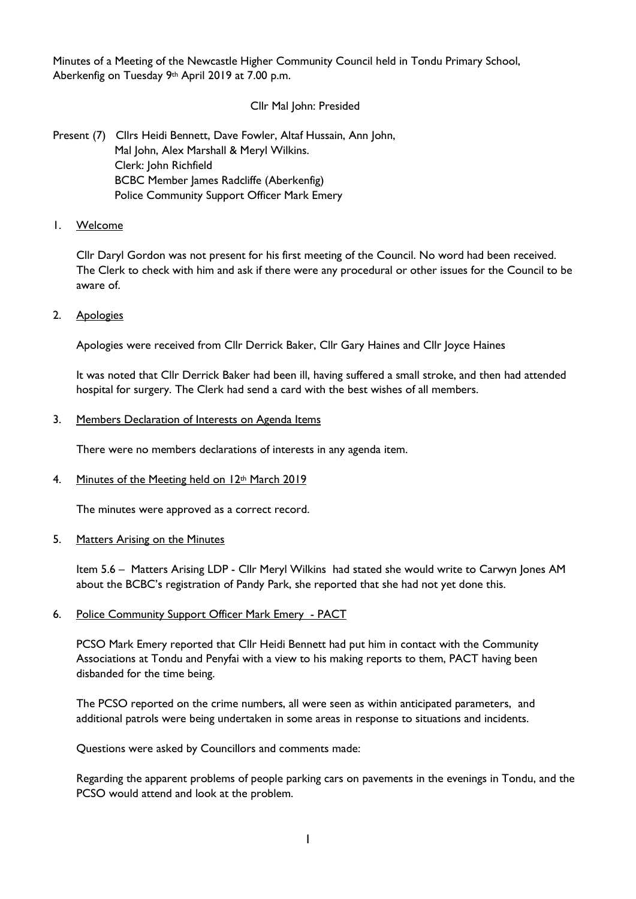Minutes of a Meeting of the Newcastle Higher Community Council held in Tondu Primary School, Aberkenfig on Tuesday 9th April 2019 at 7.00 p.m.

# Cllr Mal John: Presided

Present (7) Cllrs Heidi Bennett, Dave Fowler, Altaf Hussain, Ann John, Mal John, Alex Marshall & Meryl Wilkins. Clerk: John Richfield BCBC Member James Radcliffe (Aberkenfig) Police Community Support Officer Mark Emery

1. Welcome

Cllr Daryl Gordon was not present for his first meeting of the Council. No word had been received. The Clerk to check with him and ask if there were any procedural or other issues for the Council to be aware of.

2. Apologies

Apologies were received from Cllr Derrick Baker, Cllr Gary Haines and Cllr Joyce Haines

It was noted that Cllr Derrick Baker had been ill, having suffered a small stroke, and then had attended hospital for surgery. The Clerk had send a card with the best wishes of all members.

### 3. Members Declaration of Interests on Agenda Items

There were no members declarations of interests in any agenda item.

4. Minutes of the Meeting held on 12<sup>th</sup> March 2019

The minutes were approved as a correct record.

5. Matters Arising on the Minutes

Item 5.6 – Matters Arising LDP - Cllr Meryl Wilkins had stated she would write to Carwyn Jones AM about the BCBC's registration of Pandy Park, she reported that she had not yet done this.

6. Police Community Support Officer Mark Emery - PACT

PCSO Mark Emery reported that Cllr Heidi Bennett had put him in contact with the Community Associations at Tondu and Penyfai with a view to his making reports to them, PACT having been disbanded for the time being.

The PCSO reported on the crime numbers, all were seen as within anticipated parameters, and additional patrols were being undertaken in some areas in response to situations and incidents.

Questions were asked by Councillors and comments made:

Regarding the apparent problems of people parking cars on pavements in the evenings in Tondu, and the PCSO would attend and look at the problem.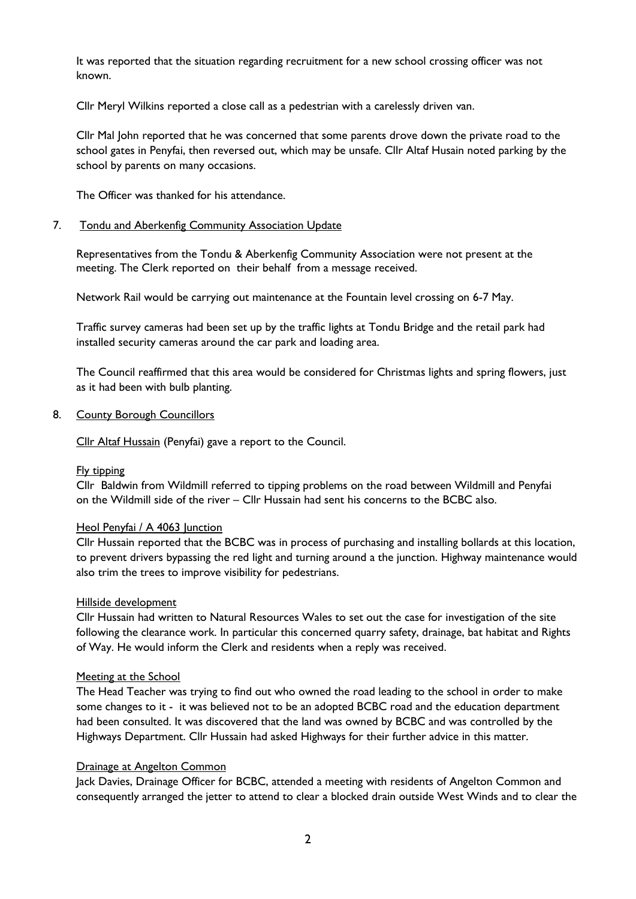It was reported that the situation regarding recruitment for a new school crossing officer was not known.

Cllr Meryl Wilkins reported a close call as a pedestrian with a carelessly driven van.

Cllr Mal John reported that he was concerned that some parents drove down the private road to the school gates in Penyfai, then reversed out, which may be unsafe. Cllr Altaf Husain noted parking by the school by parents on many occasions.

The Officer was thanked for his attendance.

#### 7. Tondu and Aberkenfig Community Association Update

Representatives from the Tondu & Aberkenfig Community Association were not present at the meeting. The Clerk reported on their behalf from a message received.

Network Rail would be carrying out maintenance at the Fountain level crossing on 6-7 May.

Traffic survey cameras had been set up by the traffic lights at Tondu Bridge and the retail park had installed security cameras around the car park and loading area.

The Council reaffirmed that this area would be considered for Christmas lights and spring flowers, just as it had been with bulb planting.

#### 8. County Borough Councillors

Cllr Altaf Hussain (Penyfai) gave a report to the Council.

### Fly tipping

Cllr Baldwin from Wildmill referred to tipping problems on the road between Wildmill and Penyfai on the Wildmill side of the river – Cllr Hussain had sent his concerns to the BCBC also.

#### Heol Penyfai / A 4063 Junction

Cllr Hussain reported that the BCBC was in process of purchasing and installing bollards at this location, to prevent drivers bypassing the red light and turning around a the junction. Highway maintenance would also trim the trees to improve visibility for pedestrians.

### Hillside development

Cllr Hussain had written to Natural Resources Wales to set out the case for investigation of the site following the clearance work. In particular this concerned quarry safety, drainage, bat habitat and Rights of Way. He would inform the Clerk and residents when a reply was received.

### Meeting at the School

The Head Teacher was trying to find out who owned the road leading to the school in order to make some changes to it - it was believed not to be an adopted BCBC road and the education department had been consulted. It was discovered that the land was owned by BCBC and was controlled by the Highways Department. Cllr Hussain had asked Highways for their further advice in this matter.

### Drainage at Angelton Common

Jack Davies, Drainage Officer for BCBC, attended a meeting with residents of Angelton Common and consequently arranged the jetter to attend to clear a blocked drain outside West Winds and to clear the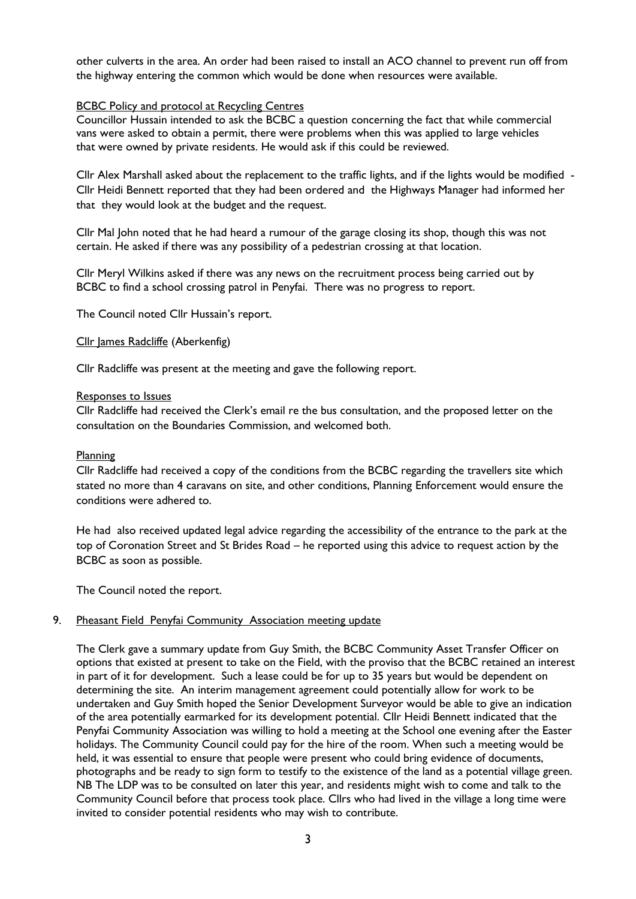other culverts in the area. An order had been raised to install an ACO channel to prevent run off from the highway entering the common which would be done when resources were available.

### **BCBC Policy and protocol at Recycling Centres**

Councillor Hussain intended to ask the BCBC a question concerning the fact that while commercial vans were asked to obtain a permit, there were problems when this was applied to large vehicles that were owned by private residents. He would ask if this could be reviewed.

Cllr Alex Marshall asked about the replacement to the traffic lights, and if the lights would be modified - Cllr Heidi Bennett reported that they had been ordered and the Highways Manager had informed her that they would look at the budget and the request.

Cllr Mal John noted that he had heard a rumour of the garage closing its shop, though this was not certain. He asked if there was any possibility of a pedestrian crossing at that location.

Cllr Meryl Wilkins asked if there was any news on the recruitment process being carried out by BCBC to find a school crossing patrol in Penyfai. There was no progress to report.

The Council noted Cllr Hussain's report.

### Cllr James Radcliffe (Aberkenfig)

Cllr Radcliffe was present at the meeting and gave the following report.

#### Responses to Issues

Cllr Radcliffe had received the Clerk's email re the bus consultation, and the proposed letter on the consultation on the Boundaries Commission, and welcomed both.

#### Planning

Cllr Radcliffe had received a copy of the conditions from the BCBC regarding the travellers site which stated no more than 4 caravans on site, and other conditions, Planning Enforcement would ensure the conditions were adhered to.

He had also received updated legal advice regarding the accessibility of the entrance to the park at the top of Coronation Street and St Brides Road – he reported using this advice to request action by the BCBC as soon as possible.

The Council noted the report.

# 9. Pheasant Field Penyfai Community Association meeting update

The Clerk gave a summary update from Guy Smith, the BCBC Community Asset Transfer Officer on options that existed at present to take on the Field, with the proviso that the BCBC retained an interest in part of it for development. Such a lease could be for up to 35 years but would be dependent on determining the site. An interim management agreement could potentially allow for work to be undertaken and Guy Smith hoped the Senior Development Surveyor would be able to give an indication of the area potentially earmarked for its development potential. Cllr Heidi Bennett indicated that the Penyfai Community Association was willing to hold a meeting at the School one evening after the Easter holidays. The Community Council could pay for the hire of the room. When such a meeting would be held, it was essential to ensure that people were present who could bring evidence of documents, photographs and be ready to sign form to testify to the existence of the land as a potential village green. NB The LDP was to be consulted on later this year, and residents might wish to come and talk to the Community Council before that process took place. Cllrs who had lived in the village a long time were invited to consider potential residents who may wish to contribute.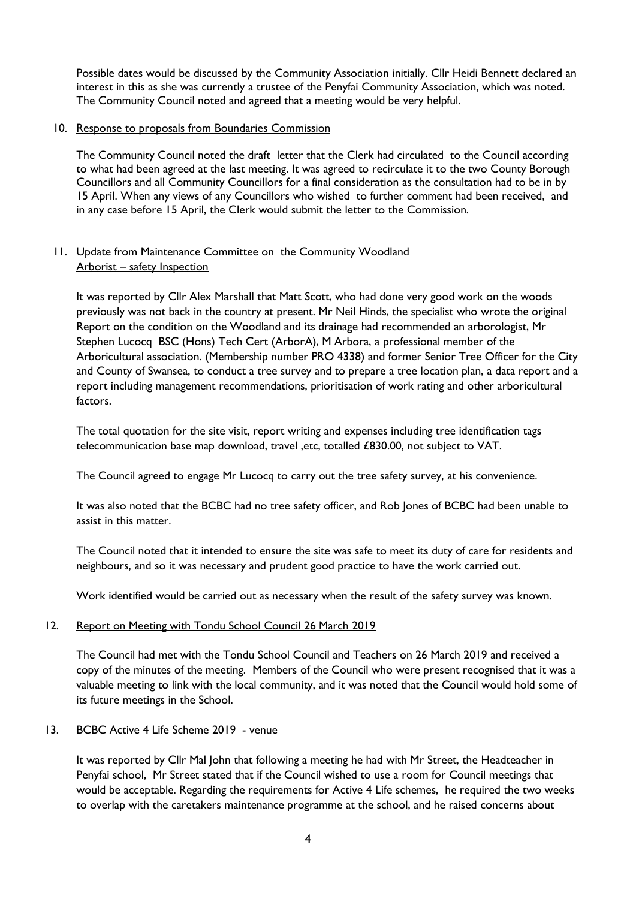Possible dates would be discussed by the Community Association initially. Cllr Heidi Bennett declared an interest in this as she was currently a trustee of the Penyfai Community Association, which was noted. The Community Council noted and agreed that a meeting would be very helpful.

### 10. Response to proposals from Boundaries Commission

The Community Council noted the draft letter that the Clerk had circulated to the Council according to what had been agreed at the last meeting. It was agreed to recirculate it to the two County Borough Councillors and all Community Councillors for a final consideration as the consultation had to be in by 15 April. When any views of any Councillors who wished to further comment had been received, and in any case before 15 April, the Clerk would submit the letter to the Commission.

# 11. Update from Maintenance Committee on the Community Woodland Arborist – safety Inspection

It was reported by Cllr Alex Marshall that Matt Scott, who had done very good work on the woods previously was not back in the country at present. Mr Neil Hinds, the specialist who wrote the original Report on the condition on the Woodland and its drainage had recommended an arborologist, Mr Stephen Lucocq BSC (Hons) Tech Cert (ArborA), M Arbora, a professional member of the Arboricultural association. (Membership number PRO 4338) and former Senior Tree Officer for the City and County of Swansea, to conduct a tree survey and to prepare a tree location plan, a data report and a report including management recommendations, prioritisation of work rating and other arboricultural factors.

The total quotation for the site visit, report writing and expenses including tree identification tags telecommunication base map download, travel ,etc, totalled £830.00, not subject to VAT.

The Council agreed to engage Mr Lucocq to carry out the tree safety survey, at his convenience.

It was also noted that the BCBC had no tree safety officer, and Rob Jones of BCBC had been unable to assist in this matter.

The Council noted that it intended to ensure the site was safe to meet its duty of care for residents and neighbours, and so it was necessary and prudent good practice to have the work carried out.

Work identified would be carried out as necessary when the result of the safety survey was known.

### 12. Report on Meeting with Tondu School Council 26 March 2019

The Council had met with the Tondu School Council and Teachers on 26 March 2019 and received a copy of the minutes of the meeting. Members of the Council who were present recognised that it was a valuable meeting to link with the local community, and it was noted that the Council would hold some of its future meetings in the School.

# 13. BCBC Active 4 Life Scheme 2019 - venue

It was reported by Cllr Mal John that following a meeting he had with Mr Street, the Headteacher in Penyfai school, Mr Street stated that if the Council wished to use a room for Council meetings that would be acceptable. Regarding the requirements for Active 4 Life schemes, he required the two weeks to overlap with the caretakers maintenance programme at the school, and he raised concerns about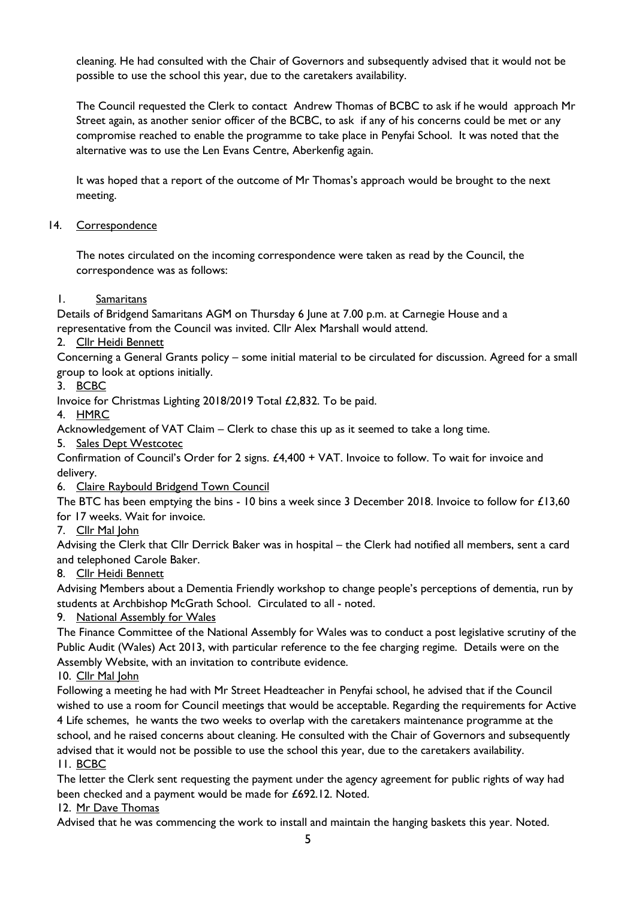cleaning. He had consulted with the Chair of Governors and subsequently advised that it would not be possible to use the school this year, due to the caretakers availability.

The Council requested the Clerk to contact Andrew Thomas of BCBC to ask if he would approach Mr Street again, as another senior officer of the BCBC, to ask if any of his concerns could be met or any compromise reached to enable the programme to take place in Penyfai School. It was noted that the alternative was to use the Len Evans Centre, Aberkenfig again.

It was hoped that a report of the outcome of Mr Thomas's approach would be brought to the next meeting.

# 14. Correspondence

The notes circulated on the incoming correspondence were taken as read by the Council, the correspondence was as follows:

# 1. Samaritans

Details of Bridgend Samaritans AGM on Thursday 6 June at 7.00 p.m. at Carnegie House and a representative from the Council was invited. Cllr Alex Marshall would attend.

# 2. Cllr Heidi Bennett

Concerning a General Grants policy – some initial material to be circulated for discussion. Agreed for a small group to look at options initially.

3. BCBC

Invoice for Christmas Lighting 2018/2019 Total £2,832. To be paid.

4. HMRC

Acknowledgement of VAT Claim – Clerk to chase this up as it seemed to take a long time.

5. Sales Dept Westcotec

Confirmation of Council's Order for 2 signs. £4,400 + VAT. Invoice to follow. To wait for invoice and delivery.

6. Claire Raybould Bridgend Town Council

The BTC has been emptying the bins - 10 bins a week since 3 December 2018. Invoice to follow for £13,60 for 17 weeks. Wait for invoice.

7. Cllr Mal John

Advising the Clerk that Cllr Derrick Baker was in hospital – the Clerk had notified all members, sent a card and telephoned Carole Baker.

# 8. Cllr Heidi Bennett

Advising Members about a Dementia Friendly workshop to change people's perceptions of dementia, run by students at Archbishop McGrath School. Circulated to all - noted.

9. National Assembly for Wales

The Finance Committee of the National Assembly for Wales was to conduct a post legislative scrutiny of the Public Audit (Wales) Act 2013, with particular reference to the fee charging regime. Details were on the Assembly Website, with an invitation to contribute evidence.

10. Cllr Mal John

Following a meeting he had with Mr Street Headteacher in Penyfai school, he advised that if the Council wished to use a room for Council meetings that would be acceptable. Regarding the requirements for Active 4 Life schemes, he wants the two weeks to overlap with the caretakers maintenance programme at the school, and he raised concerns about cleaning. He consulted with the Chair of Governors and subsequently advised that it would not be possible to use the school this year, due to the caretakers availability. 11. BCBC

The letter the Clerk sent requesting the payment under the agency agreement for public rights of way had been checked and a payment would be made for £692.12. Noted.

12. Mr Dave Thomas

Advised that he was commencing the work to install and maintain the hanging baskets this year. Noted.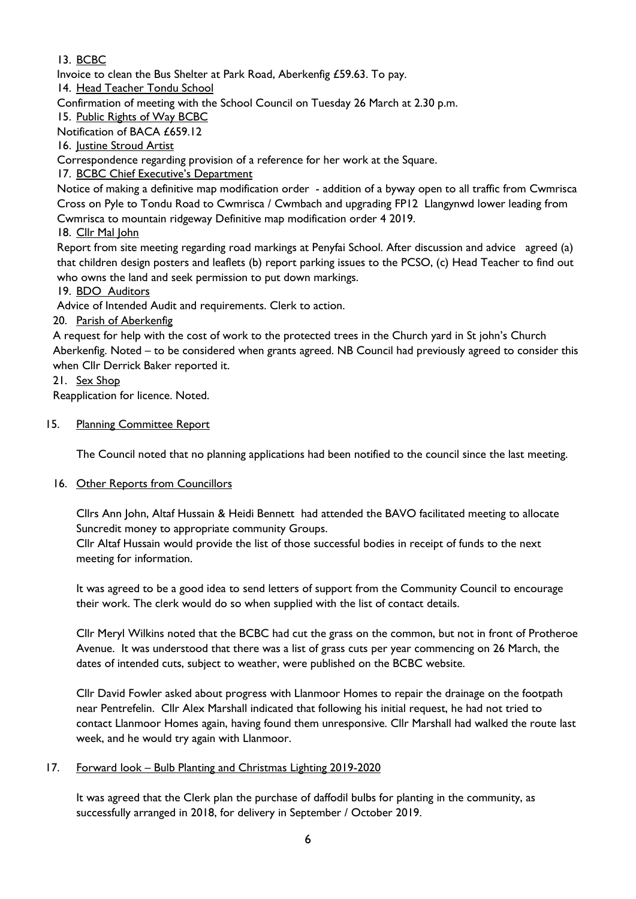# 13. BCBC

Invoice to clean the Bus Shelter at Park Road, Aberkenfig £59.63. To pay.

14. Head Teacher Tondu School

Confirmation of meeting with the School Council on Tuesday 26 March at 2.30 p.m.

15. Public Rights of Way BCBC

Notification of BACA £659.12

16. Justine Stroud Artist

Correspondence regarding provision of a reference for her work at the Square.

17. BCBC Chief Executive's Department

Notice of making a definitive map modification order - addition of a byway open to all traffic from Cwmrisca Cross on Pyle to Tondu Road to Cwmrisca / Cwmbach and upgrading FP12 Llangynwd lower leading from Cwmrisca to mountain ridgeway Definitive map modification order 4 2019.

18. Cllr Mal John

Report from site meeting regarding road markings at Penyfai School. After discussion and advice agreed (a) that children design posters and leaflets (b) report parking issues to the PCSO, (c) Head Teacher to find out who owns the land and seek permission to put down markings.

19. BDO Auditors

Advice of Intended Audit and requirements. Clerk to action.

20. Parish of Aberkenfig

A request for help with the cost of work to the protected trees in the Church yard in St john's Church Aberkenfig. Noted – to be considered when grants agreed. NB Council had previously agreed to consider this when Cllr Derrick Baker reported it.

# 21. Sex Shop

Reapplication for licence. Noted.

# 15. Planning Committee Report

The Council noted that no planning applications had been notified to the council since the last meeting.

# 16. Other Reports from Councillors

Cllrs Ann John, Altaf Hussain & Heidi Bennett had attended the BAVO facilitated meeting to allocate Suncredit money to appropriate community Groups.

Cllr Altaf Hussain would provide the list of those successful bodies in receipt of funds to the next meeting for information.

It was agreed to be a good idea to send letters of support from the Community Council to encourage their work. The clerk would do so when supplied with the list of contact details.

Cllr Meryl Wilkins noted that the BCBC had cut the grass on the common, but not in front of Protheroe Avenue. It was understood that there was a list of grass cuts per year commencing on 26 March, the dates of intended cuts, subject to weather, were published on the BCBC website.

Cllr David Fowler asked about progress with Llanmoor Homes to repair the drainage on the footpath near Pentrefelin. Cllr Alex Marshall indicated that following his initial request, he had not tried to contact Llanmoor Homes again, having found them unresponsive. Cllr Marshall had walked the route last week, and he would try again with Llanmoor.

# 17. Forward look – Bulb Planting and Christmas Lighting 2019-2020

It was agreed that the Clerk plan the purchase of daffodil bulbs for planting in the community, as successfully arranged in 2018, for delivery in September / October 2019.